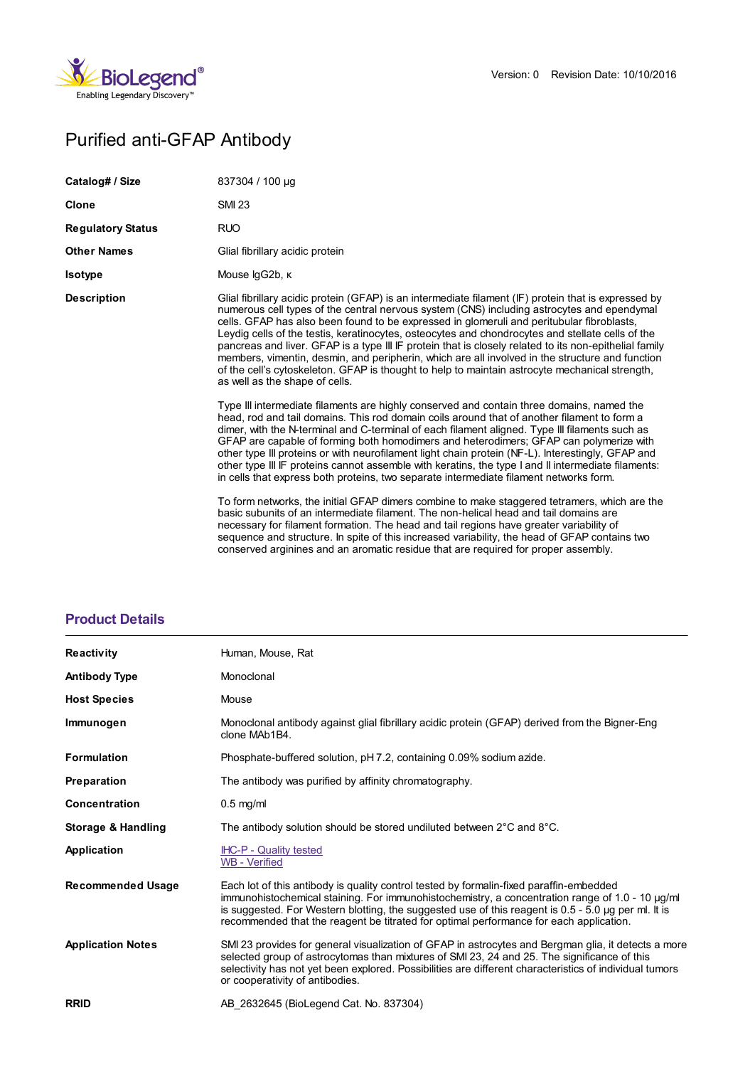

# Purified anti-GFAP Antibody

| Catalog# / Size          | 837304 / 100 µg                                                                                                                                                                                                                                                                                                                                                                                                                                                                                                                                                                                                                                                                                                                                                                                                                                                                     |
|--------------------------|-------------------------------------------------------------------------------------------------------------------------------------------------------------------------------------------------------------------------------------------------------------------------------------------------------------------------------------------------------------------------------------------------------------------------------------------------------------------------------------------------------------------------------------------------------------------------------------------------------------------------------------------------------------------------------------------------------------------------------------------------------------------------------------------------------------------------------------------------------------------------------------|
| <b>Clone</b>             | <b>SMI 23</b>                                                                                                                                                                                                                                                                                                                                                                                                                                                                                                                                                                                                                                                                                                                                                                                                                                                                       |
| <b>Regulatory Status</b> | <b>RUO</b>                                                                                                                                                                                                                                                                                                                                                                                                                                                                                                                                                                                                                                                                                                                                                                                                                                                                          |
| <b>Other Names</b>       | Glial fibrillary acidic protein                                                                                                                                                                                                                                                                                                                                                                                                                                                                                                                                                                                                                                                                                                                                                                                                                                                     |
| <b>Isotype</b>           | Mouse IgG2b, K                                                                                                                                                                                                                                                                                                                                                                                                                                                                                                                                                                                                                                                                                                                                                                                                                                                                      |
| <b>Description</b>       | Glial fibrillary acidic protein (GFAP) is an intermediate filament (IF) protein that is expressed by<br>numerous cell types of the central nervous system (CNS) including astrocytes and ependymal<br>cells. GFAP has also been found to be expressed in glomeruli and peritubular fibroblasts,<br>Leydig cells of the testis, keratinocytes, osteocytes and chondrocytes and stellate cells of the<br>pancreas and liver. GFAP is a type III IF protein that is closely related to its non-epithelial family<br>members, vimentin, desmin, and peripherin, which are all involved in the structure and function<br>of the cell's cytoskeleton. GFAP is thought to help to maintain astrocyte mechanical strength,<br>as well as the shape of cells.                                                                                                                                |
|                          | Type III intermediate filaments are highly conserved and contain three domains, named the<br>head, rod and tail domains. This rod domain coils around that of another filament to form a<br>dimer, with the N-terminal and C-terminal of each filament aligned. Type III filaments such as<br>GFAP are capable of forming both homodimers and heterodimers; GFAP can polymerize with<br>other type III proteins or with neurofilament light chain protein (NF-L). Interestingly, GFAP and<br>other type III IF proteins cannot assemble with keratins, the type I and II intermediate filaments:<br>in cells that express both proteins, two separate intermediate filament networks form.<br>To form networks, the initial GFAP dimers combine to make staggered tetramers, which are the<br>basic subunits of an intermediate filament. The non-helical head and tail domains are |
|                          | necessary for filament formation. The head and tail regions have greater variability of<br>sequence and structure. In spite of this increased variability, the head of GFAP contains two                                                                                                                                                                                                                                                                                                                                                                                                                                                                                                                                                                                                                                                                                            |

conserved arginines and an aromatic residue that are required for proper assembly.

## **[Product](https://www.biolegend.com/fr-fr/products/purified-anti-gfap-antibody-13721?pdf=true&displayInline=true&leftRightMargin=15&topBottomMargin=15&filename=Purified anti-GFAP Antibody.pdf#productDetails) Details**

| <b>Reactivity</b>        | Human, Mouse, Rat                                                                                                                                                                                                                                                                                                                                                                             |
|--------------------------|-----------------------------------------------------------------------------------------------------------------------------------------------------------------------------------------------------------------------------------------------------------------------------------------------------------------------------------------------------------------------------------------------|
|                          |                                                                                                                                                                                                                                                                                                                                                                                               |
| <b>Antibody Type</b>     | Monoclonal                                                                                                                                                                                                                                                                                                                                                                                    |
| <b>Host Species</b>      | Mouse                                                                                                                                                                                                                                                                                                                                                                                         |
| Immunogen                | Monoclonal antibody against glial fibrillary acidic protein (GFAP) derived from the Bigner-Eng<br>clone MAb1B4.                                                                                                                                                                                                                                                                               |
| <b>Formulation</b>       | Phosphate-buffered solution, pH 7.2, containing 0.09% sodium azide.                                                                                                                                                                                                                                                                                                                           |
| <b>Preparation</b>       | The antibody was purified by affinity chromatography.                                                                                                                                                                                                                                                                                                                                         |
| Concentration            | $0.5$ mg/ml                                                                                                                                                                                                                                                                                                                                                                                   |
| Storage & Handling       | The antibody solution should be stored undiluted between $2^{\circ}$ C and $8^{\circ}$ C.                                                                                                                                                                                                                                                                                                     |
| Application              | <b>IHC-P - Quality tested</b><br><b>WB</b> - Verified                                                                                                                                                                                                                                                                                                                                         |
| <b>Recommended Usage</b> | Each lot of this antibody is quality control tested by formalin-fixed paraffin-embedded<br>immunohistochemical staining. For immunohistochemistry, a concentration range of 1.0 - 10 µg/ml<br>is suggested. For Western blotting, the suggested use of this reagent is $0.5 - 5.0$ µg per ml. It is<br>recommended that the reagent be titrated for optimal performance for each application. |
| <b>Application Notes</b> | SMI 23 provides for general visualization of GFAP in astrocytes and Bergman glia, it detects a more<br>selected group of astrocytomas than mixtures of SMI 23, 24 and 25. The significance of this<br>selectivity has not yet been explored. Possibilities are different characteristics of individual tumors<br>or cooperativity of antibodies.                                              |
| <b>RRID</b>              | AB 2632645 (BioLegend Cat. No. 837304)                                                                                                                                                                                                                                                                                                                                                        |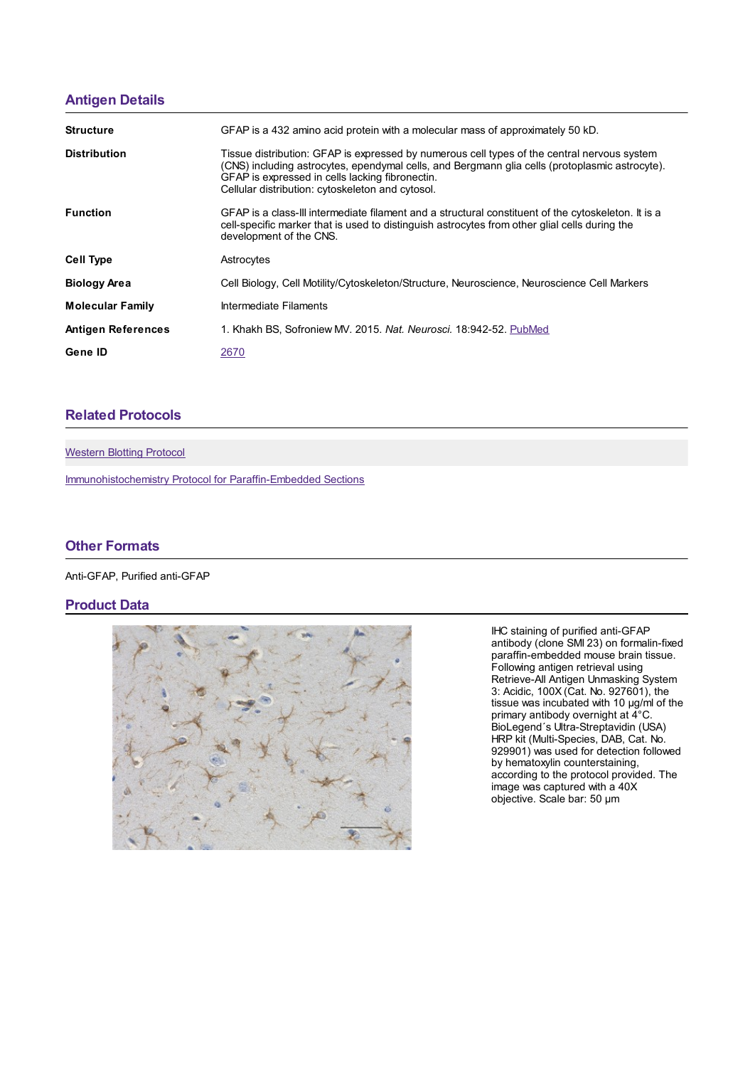### **[Antigen](https://www.biolegend.com/fr-fr/products/purified-anti-gfap-antibody-13721?pdf=true&displayInline=true&leftRightMargin=15&topBottomMargin=15&filename=Purified anti-GFAP Antibody.pdf#antigenDetails) Details**

| <b>Structure</b>          | GFAP is a 432 amino acid protein with a molecular mass of approximately 50 kD.                                                                                                                                                                                                                       |
|---------------------------|------------------------------------------------------------------------------------------------------------------------------------------------------------------------------------------------------------------------------------------------------------------------------------------------------|
| <b>Distribution</b>       | Tissue distribution: GFAP is expressed by numerous cell types of the central nervous system<br>(CNS) including astrocytes, ependymal cells, and Bergmann glia cells (protoplasmic astrocyte).<br>GFAP is expressed in cells lacking fibronectin.<br>Cellular distribution: cytoskeleton and cytosol. |
| <b>Function</b>           | GFAP is a class-III intermediate filament and a structural constituent of the cytoskeleton. It is a<br>cell-specific marker that is used to distinguish astrocytes from other glial cells during the<br>development of the CNS.                                                                      |
| <b>Cell Type</b>          | Astrocytes                                                                                                                                                                                                                                                                                           |
| <b>Biology Area</b>       | Cell Biology, Cell Motility/Cytoskeleton/Structure, Neuroscience, Neuroscience Cell Markers                                                                                                                                                                                                          |
| <b>Molecular Family</b>   | Intermediate Filaments                                                                                                                                                                                                                                                                               |
| <b>Antigen References</b> | 1. Khakh BS, Sofroniew MV, 2015. Nat. Neurosci. 18:942-52. PubMed                                                                                                                                                                                                                                    |
| Gene ID                   | 2670                                                                                                                                                                                                                                                                                                 |

## **Related [Protocols](https://www.biolegend.com/fr-fr/products/purified-anti-gfap-antibody-13721?pdf=true&displayInline=true&leftRightMargin=15&topBottomMargin=15&filename=Purified anti-GFAP Antibody.pdf#productRelatedProtocols)**

[Western](https://www.biolegend.com/protocols/western-blotting-protocol/4269/) Blotting Protocol

[Immunohistochemistry](https://www.biolegend.com/protocols/immunohistochemistry-protocol-for-paraffin-embedded-sections/4256/) Protocol for Paraffin-Embedded Sections

#### **Other [Formats](https://www.biolegend.com/fr-fr/products/purified-anti-gfap-antibody-13721?pdf=true&displayInline=true&leftRightMargin=15&topBottomMargin=15&filename=Purified anti-GFAP Antibody.pdf#productOtherFormats)**

Anti-GFAP, Purified anti-GFAP

#### **Product Data**



IHC staining of purified anti-GFAP antibody (clone SMI 23) on formalin-fixed paraffin-embedded mouse brain tissue. Following antigen retrieval using Retrieve-All Antigen Unmasking System 3: Acidic, 100X (Cat. No. 927601), the tissue was incubated with 10 µg/ml of the primary antibody overnight at 4°C. BioLegend´s Ultra-Streptavidin (USA) HRP kit (Multi-Species, DAB, Cat. No. 929901) was used for detection followed by hematoxylin counterstaining, according to the protocol provided. The image was captured with a 40X objective. Scale bar: 50 µm